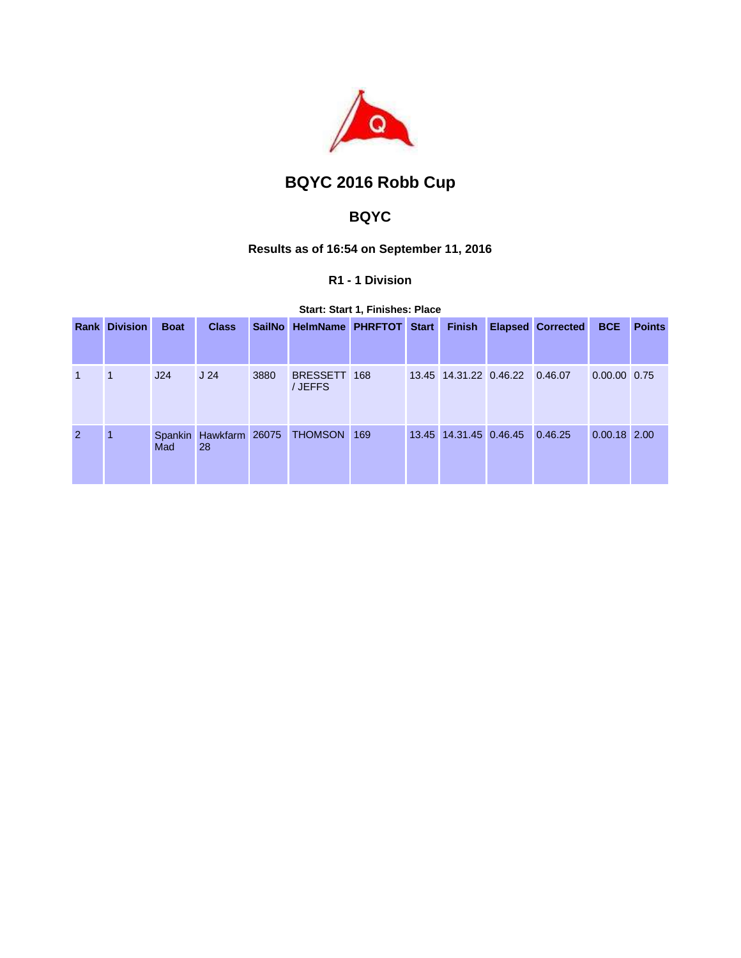

# **BQYC 2016 Robb Cup**

## **BQYC**

## **Results as of 16:54 on September 11, 2016**

## **R1 - 1 Division**

**Start: Start 1, Finishes: Place** 

|                | <b>Rank Division</b> | <b>Boat</b> | <b>Class</b>                 |      | SailNo HelmName PHRFTOT Start |  | <b>Finish</b>                  | <b>Elapsed Corrected</b> | <b>BCE</b>     | <b>Points</b> |
|----------------|----------------------|-------------|------------------------------|------|-------------------------------|--|--------------------------------|--------------------------|----------------|---------------|
|                |                      |             |                              |      |                               |  |                                |                          |                |               |
| $\mathbf{1}$   | -1                   | J24         | J <sub>24</sub>              | 3880 | BRESSETT 168<br>/ JEFFS       |  | 13.45 14.31.22 0.46.22 0.46.07 |                          | 0.00.00 0.75   |               |
| $\overline{2}$ | 1                    | Mad         | Spankin Hawkfarm 26075<br>28 |      | THOMSON 169                   |  | 13.45 14.31.45 0.46.45         | 0.46.25                  | $0.00.18$ 2.00 |               |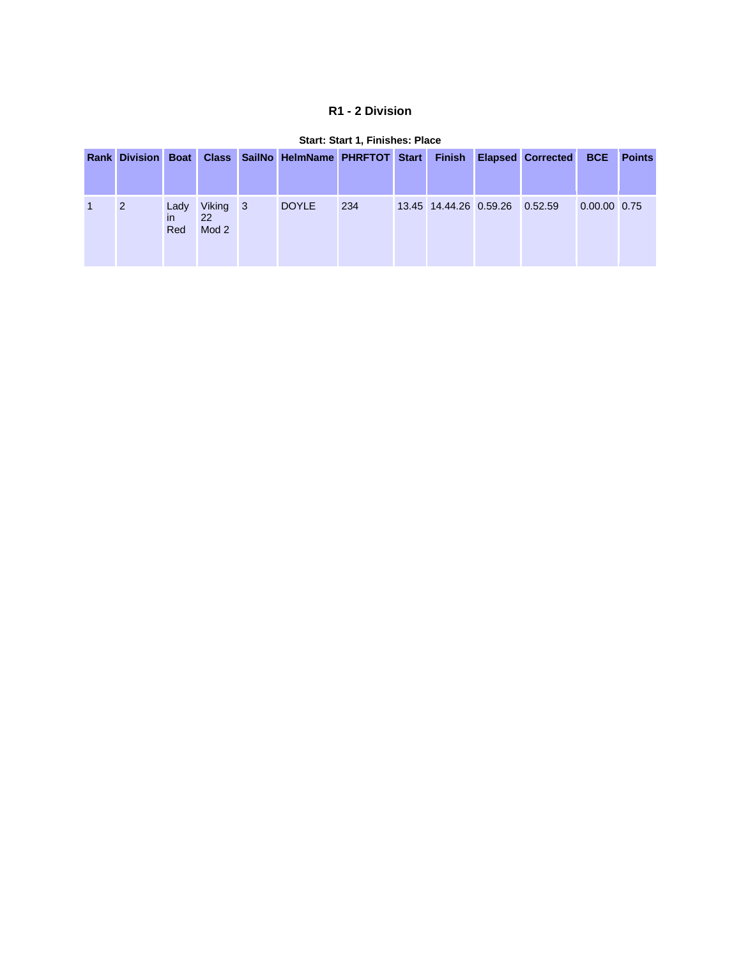## **R1 - 2 Division**

| <b>Rank Division Boat</b> |                    |                         | Class SailNo HelmName PHRFTOT Start Finish |     |                                | <b>Elapsed Corrected</b> | <b>BCE</b>     | <b>Points</b> |
|---------------------------|--------------------|-------------------------|--------------------------------------------|-----|--------------------------------|--------------------------|----------------|---------------|
| 2                         | Lady<br>in.<br>Red | Viking 3<br>22<br>Mod 2 | <b>DOYLE</b>                               | 234 | 13.45 14.44.26 0.59.26 0.52.59 |                          | $0.00.00$ 0.75 |               |

#### **Start: Start 1, Finishes: Place**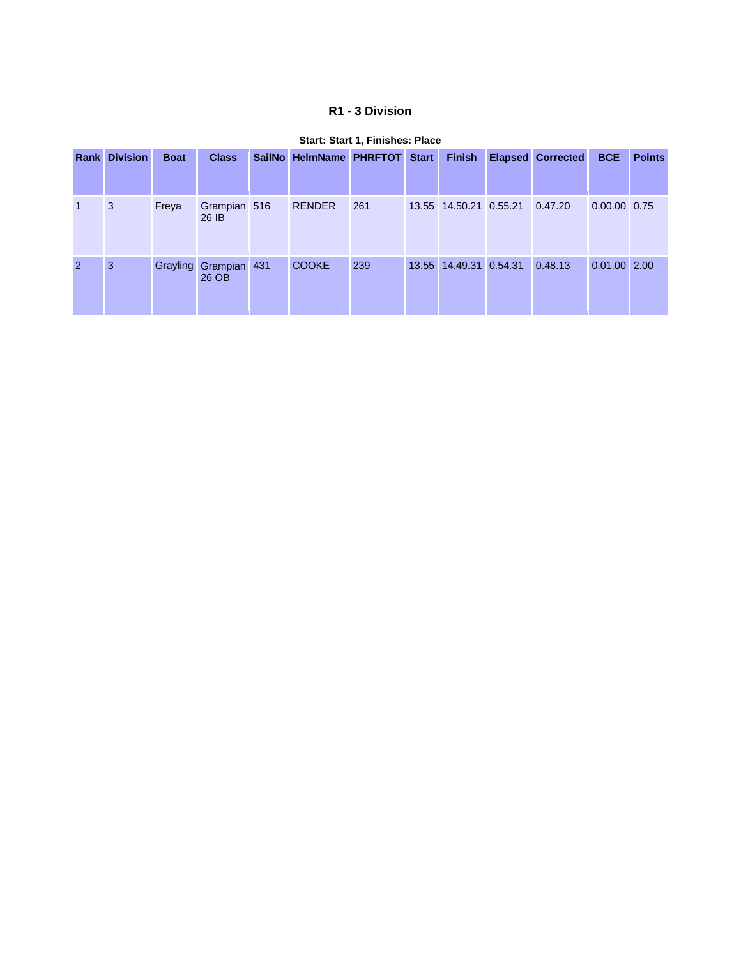## **R1 - 3 Division**

|                | <b>Rank Division</b> | <b>Boat</b> | <b>Class</b>                   | SailNo HelmName PHRFTOT Start |     | <b>Finish</b>          | <b>Elapsed Corrected</b> | <b>BCE</b>   | <b>Points</b> |
|----------------|----------------------|-------------|--------------------------------|-------------------------------|-----|------------------------|--------------------------|--------------|---------------|
| $\mathbf{1}$   | 3                    | Freya       | Grampian 516<br>26 IB          | <b>RENDER</b>                 | 261 | 13.55 14.50.21 0.55.21 | 0.47.20                  | 0.00.00 0.75 |               |
| $\overline{2}$ | 3                    |             | Grayling Grampian 431<br>26 OB | <b>COOKE</b>                  | 239 | 13.55 14.49.31 0.54.31 | 0.48.13                  | 0.01.00 2.00 |               |

#### **Start: Start 1, Finishes: Place**